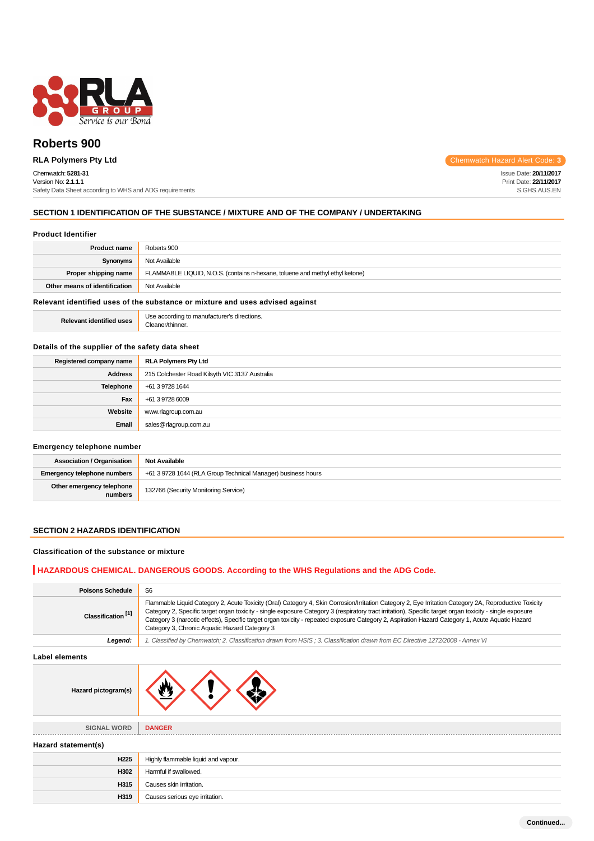

# **Roberts 900**

# Chemwatch: **5281-31**

Version No: **2.1.1.1** Safety Data Sheet according to WHS and ADG requirements

**RLA Polymers Pty Ltd** Chemwatch Hazard Alert Code: 3

Issue Date: **20/11/2017** Print Date: **22/11/2017** S.GHS.AUS.EN

## **SECTION 1 IDENTIFICATION OF THE SUBSTANCE / MIXTURE AND OF THE COMPANY / UNDERTAKING**

#### **Product Identifier**

| <b>Product name</b>           | Roberts 900                                                                   |
|-------------------------------|-------------------------------------------------------------------------------|
| Synonyms                      | Not Available                                                                 |
| Proper shipping name          | FLAMMABLE LIQUID, N.O.S. (contains n-hexane, toluene and methyl ethyl ketone) |
| Other means of identification | Not Available                                                                 |

#### **Relevant identified uses of the substance or mixture and uses advised against**

| <b>Releva</b> | Jse<br>rections.<br>חר:<br>ure<br>.<br>$\sim$<br>$\sim$ $\sim$<br>.<br>inner |
|---------------|------------------------------------------------------------------------------|
|---------------|------------------------------------------------------------------------------|

#### **Details of the supplier of the safety data sheet**

| Registered company name | <b>RLA Polymers Pty Ltd</b>                    |  |  |
|-------------------------|------------------------------------------------|--|--|
| <b>Address</b>          | 215 Colchester Road Kilsyth VIC 3137 Australia |  |  |
| Telephone               | +61 3 9728 1644                                |  |  |
| Fax                     | +61 3 9728 6009                                |  |  |
| Website                 | www.rlagroup.com.au                            |  |  |
| Email                   | sales@rlagroup.com.au                          |  |  |

## **Emergency telephone number**

| <b>Association / Organisation</b>    | <b>Not Available</b>                                         |  |  |
|--------------------------------------|--------------------------------------------------------------|--|--|
| <b>Emergency telephone numbers</b>   | +61 3 9728 1644 (RLA Group Technical Manager) business hours |  |  |
| Other emergency telephone<br>numbers | 132766 (Security Monitoring Service)                         |  |  |

## **SECTION 2 HAZARDS IDENTIFICATION**

## **Classification of the substance or mixture**

# **HAZARDOUS CHEMICAL. DANGEROUS GOODS. According to the WHS Regulations and the ADG Code.**

| <b>Poisons Schedule</b>       | S <sub>6</sub>                                                                                                                                                                                                                                                                                                                                                                                                                                                                                                          |  |  |  |
|-------------------------------|-------------------------------------------------------------------------------------------------------------------------------------------------------------------------------------------------------------------------------------------------------------------------------------------------------------------------------------------------------------------------------------------------------------------------------------------------------------------------------------------------------------------------|--|--|--|
| Classification <sup>[1]</sup> | Flammable Liquid Category 2, Acute Toxicity (Oral) Category 4, Skin Corrosion/Irritation Category 2, Eye Irritation Category 2A, Reproductive Toxicity<br>Category 2, Specific target organ toxicity - single exposure Category 3 (respiratory tract irritation), Specific target organ toxicity - single exposure<br>Category 3 (narcotic effects), Specific target organ toxicity - repeated exposure Category 2, Aspiration Hazard Category 1, Acute Aquatic Hazard<br>Category 3, Chronic Aquatic Hazard Category 3 |  |  |  |
| Legend:                       | 1. Classified by Chemwatch; 2. Classification drawn from HSIS; 3. Classification drawn from EC Directive 1272/2008 - Annex VI                                                                                                                                                                                                                                                                                                                                                                                           |  |  |  |
| Label elements                |                                                                                                                                                                                                                                                                                                                                                                                                                                                                                                                         |  |  |  |
| Hazard pictogram(s)           |                                                                                                                                                                                                                                                                                                                                                                                                                                                                                                                         |  |  |  |
| SIGNAL WORD                   | <b>DANGER</b>                                                                                                                                                                                                                                                                                                                                                                                                                                                                                                           |  |  |  |
| Hazard statement(s)           |                                                                                                                                                                                                                                                                                                                                                                                                                                                                                                                         |  |  |  |
| H <sub>225</sub>              | Highly flammable liquid and vapour.                                                                                                                                                                                                                                                                                                                                                                                                                                                                                     |  |  |  |
| H302                          | Harmful if swallowed.                                                                                                                                                                                                                                                                                                                                                                                                                                                                                                   |  |  |  |
| H315                          | Causes skin irritation.                                                                                                                                                                                                                                                                                                                                                                                                                                                                                                 |  |  |  |
| H319                          | Causes serious eye irritation.                                                                                                                                                                                                                                                                                                                                                                                                                                                                                          |  |  |  |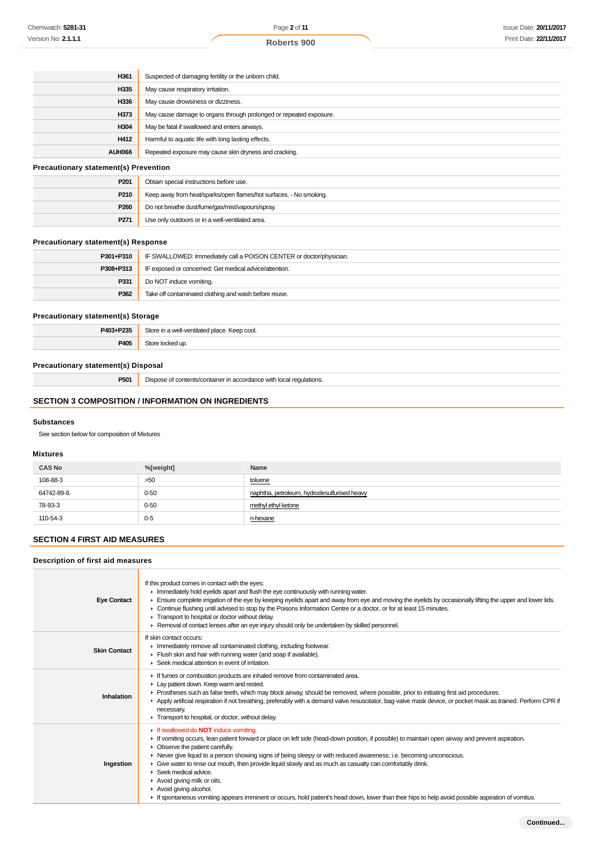| H361   | Suspected of damaging fertility or the unborn child.               |
|--------|--------------------------------------------------------------------|
| H335   | May cause respiratory irritation.                                  |
| H336   | May cause drowsiness or dizziness.                                 |
| H373   | May cause damage to organs through prolonged or repeated exposure. |
| H304   | May be fatal if swallowed and enters airways.                      |
| H412   | Harmful to aquatic life with long lasting effects.                 |
| AUH066 | Repeated exposure may cause skin dryness and cracking.             |

#### **Precautionary statement(s) Prevention**

| P <sub>201</sub> | Obtain special instructions before use.                            |
|------------------|--------------------------------------------------------------------|
| P <sub>210</sub> | Keep away from heat/sparks/open flames/hot surfaces. - No smoking. |
| P <sub>260</sub> | Do not breathe dust/fume/gas/mist/vapours/spray.                   |
| P271             | Use only outdoors or in a well-ventilated area.                    |

## **Precautionary statement(s) Response**

| P301+P310 | IF SWALLOWED: Immediately call a POISON CENTER or doctor/physician. |
|-----------|---------------------------------------------------------------------|
| P308+P313 | IF exposed or concerned: Get medical advice/attention.              |
| P331      | Do NOT induce vomiting.                                             |
| P362      | Take off contaminated clothing and wash before reuse.               |

### **Precautionary statement(s) Storage**

| P403+P235 | Store in a well-ventilated place. Keep cool. |  |
|-----------|----------------------------------------------|--|
| P405      | Store locked up                              |  |

# **Precautionary statement(s) Disposal**

**P501** Dispose of contents/container in accordance with local regulations.

## **SECTION 3 COMPOSITION / INFORMATION ON INGREDIENTS**

#### **Substances**

See section below for composition of Mixtures

## **Mixtures**

| <b>CAS No</b> | %[weight] | Name                                        |  |  |
|---------------|-----------|---------------------------------------------|--|--|
| 108-88-3      | >50       | toluene                                     |  |  |
| 64742-89-8.   | $0 - 50$  | naphtha, petroleum, hydrodesulfurised heavy |  |  |
| 78-93-3       | $0 - 50$  | methyl ethyl ketone                         |  |  |
| 110-54-3      | $0 - 5$   | n-hexane                                    |  |  |

# **SECTION 4 FIRST AID MEASURES**

#### **Description of first aid measures**

| <b>Eye Contact</b>  | If this product comes in contact with the eyes:<br>Inmediately hold eyelids apart and flush the eye continuously with running water.<br>Ensure complete irrigation of the eye by keeping eyelids apart and away from eye and moving the eyelids by occasionally lifting the upper and lower lids.<br>► Continue flushing until advised to stop by the Poisons Information Centre or a doctor, or for at least 15 minutes.<br>Transport to hospital or doctor without delay.<br>► Removal of contact lenses after an eye injury should only be undertaken by skilled personnel.                                                                                                                                                                      |
|---------------------|-----------------------------------------------------------------------------------------------------------------------------------------------------------------------------------------------------------------------------------------------------------------------------------------------------------------------------------------------------------------------------------------------------------------------------------------------------------------------------------------------------------------------------------------------------------------------------------------------------------------------------------------------------------------------------------------------------------------------------------------------------|
| <b>Skin Contact</b> | If skin contact occurs:<br>Inmediately remove all contaminated clothing, including footwear.<br>Flush skin and hair with running water (and soap if available).<br>▶ Seek medical attention in event of irritation.                                                                                                                                                                                                                                                                                                                                                                                                                                                                                                                                 |
| Inhalation          | If fumes or combustion products are inhaled remove from contaminated area.<br>Lay patient down. Keep warm and rested.<br>► Prostheses such as false teeth, which may block airway, should be removed, where possible, prior to initiating first aid procedures.<br>▶ Apply artificial respiration if not breathing, preferably with a demand valve resuscitator, bag-valve mask device, or pocket mask as trained. Perform CPR if<br>necessary.<br>Transport to hospital, or doctor, without delay.                                                                                                                                                                                                                                                 |
| Ingestion           | <b>If swallowed do NOT induce vomiting.</b><br>► If vomiting occurs, lean patient forward or place on left side (head-down position, if possible) to maintain open airway and prevent aspiration.<br>$\triangleright$ Observe the patient carefully.<br>► Never give liquid to a person showing signs of being sleepy or with reduced awareness; i.e. becoming unconscious.<br>• Give water to rinse out mouth, then provide liquid slowly and as much as casualty can comfortably drink.<br>$\blacktriangleright$ Seek medical advice.<br>Avoid giving milk or oils.<br>Avoid giving alcohol.<br>If spontaneous vomiting appears imminent or occurs, hold patient's head down, lower than their hips to help avoid possible aspiration of vomitus. |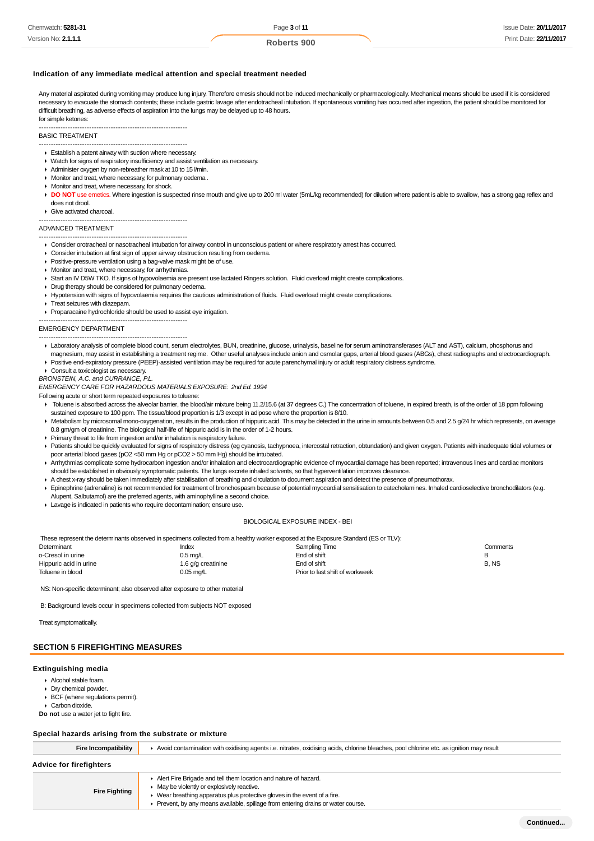| Chemwatch: 5281-31         | Page 3 of 11 | Issue Date: 20/11/2017 |
|----------------------------|--------------|------------------------|
| Version No: <b>2.1.1.1</b> | Roberts 900  | Print Date: 22/11/2017 |

#### **Indication of any immediate medical attention and special treatment needed**

Any material aspirated during vomiting may produce lung injury. Therefore emesis should not be induced mechanically or pharmacologically. Mechanical means should be used if it is considered necessary to evacuate the stomach contents; these include gastric lavage after endotracheal intubation. If spontaneous vomiting has occurred after ingestion, the patient should be monitored for difficult breathing, as adverse effects of aspiration into the lungs may be delayed up to 48 hours. for simple ketones:

#### -------------------------------------------------------------- BASIC TREATMENT

- --------------------------------------------------------------
- Establish a patent airway with suction where necessary.
- Watch for signs of respiratory insufficiency and assist ventilation as necessary.
- Administer oxygen by non-rebreather mask at 10 to 15 l/min.
- Monitor and treat, where necessary, for pulmonary oedema .
- **Monitor and treat, where necessary, for shock.**
- **DO NOT** use emetics. Where ingestion is suspected rinse mouth and give up to 200 ml water (5mL/kg recommended) for dilution where patient is able to swallow, has a strong gag reflex and does not drool.

#### Give activated charcoal.

--------------------------------------------------------------

#### ADVANCED TREATMENT

- -------------------------------------------------------------- Consider orotracheal or nasotracheal intubation for airway control in unconscious patient or where respiratory arrest has occurred.
- Consider intubation at first sign of upper airway obstruction resulting from oedema.
- **Positive-pressure ventilation using a bag-valve mask might be of use.**
- **Monitor and treat, where necessary, for arrhythmias.**
- Start an IV D5W TKO. If signs of hypovolaemia are present use lactated Ringers solution. Fluid overload might create complications.
- Drug therapy should be considered for pulmonary oedema.
- Hypotension with signs of hypovolaemia requires the cautious administration of fluids. Fluid overload might create complications.
- **Treat seizures with diazepam.**
- Proparacaine hydrochloride should be used to assist eye irrigation.

#### -------------------------------------------------------------- EMERGENCY DEPARTMENT

- --------------------------------------------------------------
- Laboratory analysis of complete blood count, serum electrolytes, BUN, creatinine, glucose, urinalysis, baseline for serum aminotransferases (ALT and AST), calcium, phosphorus and magnesium, may assist in establishing a treatment regime. Other useful analyses include anion and osmolar gaps, arterial blood gases (ABGs), chest radiographs and electrocardiograph. Positive end-expiratory pressure (PEEP)-assisted ventilation may be required for acute parenchymal injury or adult respiratory distress syndrome.
- Consult a toxicologist as necessary.
- BRONSTEIN, A.C. and CURRANCE, P.L.

EMERGENCY CARE FOR HAZARDOUS MATERIALS EXPOSURE: 2nd Ed. 1994

Following acute or short term repeated exposures to toluene:

- Toluene is absorbed across the alveolar barrier, the blood/air mixture being 11.2/15.6 (at 37 degrees C.) The concentration of toluene, in expired breath, is of the order of 18 ppm following sustained exposure to 100 ppm. The tissue/blood proportion is 1/3 except in adipose where the proportion is 8/10.
- Metabolism by microsomal mono-oxygenation, results in the production of hippuric acid. This may be detected in the urine in amounts between 0.5 and 2.5 g/24 hr which represents, on average 0.8 gm/gm of creatinine. The biological half-life of hippuric acid is in the order of 1-2 hours.
- Primary threat to life from ingestion and/or inhalation is respiratory failure.
- ▶ Patients should be quickly evaluated for signs of respiratory distress (eg cyanosis, tachypnoea, intercostal retraction, obtundation) and given oxygen. Patients with inadequate tidal volumes or poor arterial blood gases (pO2 <50 mm Hg or pCO2 > 50 mm Hg) should be intubated.
- Arrhythmias complicate some hydrocarbon ingestion and/or inhalation and electrocardiographic evidence of myocardial damage has been reported; intravenous lines and cardiac monitors should be established in obviously symptomatic patients. The lungs excrete inhaled solvents, so that hyperventilation improves clearance.
- A chest x-ray should be taken immediately after stabilisation of breathing and circulation to document aspiration and detect the presence of pneumothorax.
- Epinephrine (adrenaline) is not recommended for treatment of bronchospasm because of potential myocardial sensitisation to catecholamines. Inhaled cardioselective bronchodilators (e.g. Alupent, Salbutamol) are the preferred agents, with aminophylline a second choice.
- Lavage is indicated in patients who require decontamination; ensure use.

#### BIOLOGICAL EXPOSURE INDEX - BEI

These represent the determinants observed in specimens collected from a healthy worker exposed at the Exposure Standard (ES or TLV):

| Determinant            | Index              | Sampling Time                   | Comments |
|------------------------|--------------------|---------------------------------|----------|
| o-Cresol in urine      | $0.5 \text{ mq/L}$ | End of shift                    |          |
| Hippuric acid in urine | 1.6 g/g creatinine | End of shift                    | B, NS    |
| Toluene in blood       | $0.05$ mg/L        | Prior to last shift of workweek |          |

NS: Non-specific determinant; also observed after exposure to other material

B: Background levels occur in specimens collected from subjects NOT exposed

Treat symptomatically.

#### **SECTION 5 FIREFIGHTING MEASURES**

#### **Extinguishing media**

- Alcohol stable foam.
- Dry chemical powder.
- **BCF** (where regulations permit).
- Carbon dioxide.
- **Do not** use a water jet to fight fire.

#### **Special hazards arising from the substrate or mixture**

Fire Incompatibility **A** Avoid contamination with oxidising agents i.e. nitrates, oxidising acids, chlorine bleaches, pool chlorine etc. as ignition may result **Advice for firefighters Fire Fighting** Alert Fire Brigade and tell them location and nature of hazard. **May be violently or explosively reactive.**  $\blacktriangleright$  Wear breathing apparatus plus protective gloves in the event of a fire.

Prevent, by any means available, spillage from entering drains or water course.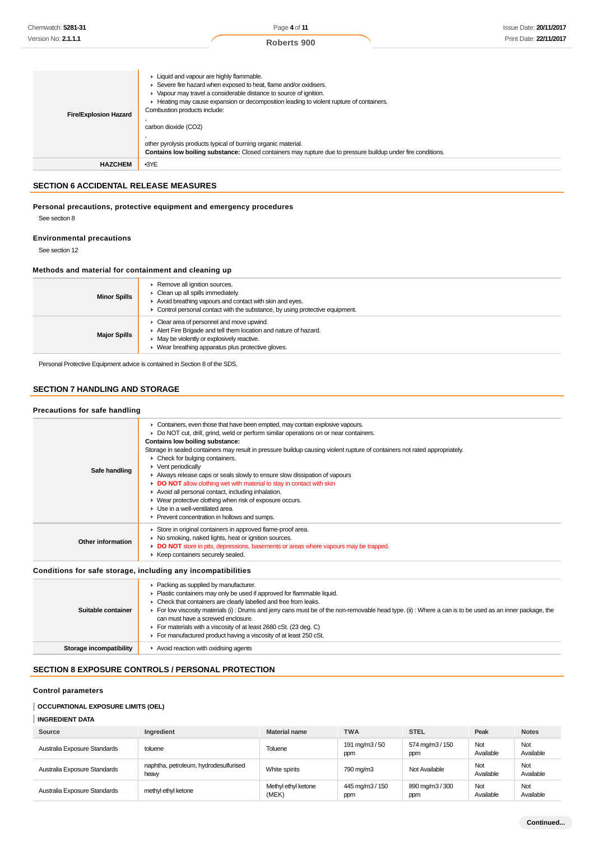| <b>Fire/Explosion Hazard</b> | • Liquid and vapour are highly flammable.<br>Severe fire hazard when exposed to heat, flame and/or oxidisers.<br>Vapour may travel a considerable distance to source of ignition.<br>Heating may cause expansion or decomposition leading to violent rupture of containers.<br>Combustion products include:<br>carbon dioxide (CO2)<br>other pyrolysis products typical of burning organic material.<br><b>Contains low boiling substance:</b> Closed containers may rupture due to pressure buildup under fire conditions. |
|------------------------------|-----------------------------------------------------------------------------------------------------------------------------------------------------------------------------------------------------------------------------------------------------------------------------------------------------------------------------------------------------------------------------------------------------------------------------------------------------------------------------------------------------------------------------|
| <b>HAZCHEM</b>               | $-3YE$                                                                                                                                                                                                                                                                                                                                                                                                                                                                                                                      |

# **SECTION 6 ACCIDENTAL RELEASE MEASURES**

#### **Personal precautions, protective equipment and emergency procedures**

See section 8

#### **Environmental precautions**

See section 12

## **Methods and material for containment and cleaning up**

| <b>Minor Spills</b> | Remove all ignition sources.<br>• Clean up all spills immediately.<br>Avoid breathing vapours and contact with skin and eyes.<br>• Control personal contact with the substance, by using protective equipment.                    |
|---------------------|-----------------------------------------------------------------------------------------------------------------------------------------------------------------------------------------------------------------------------------|
| <b>Major Spills</b> | $\triangleright$ Clear area of personnel and move upwind.<br>Alert Fire Brigade and tell them location and nature of hazard.<br>• May be violently or explosively reactive.<br>▶ Wear breathing apparatus plus protective gloves. |

Personal Protective Equipment advice is contained in Section 8 of the SDS.

# **SECTION 7 HANDLING AND STORAGE**

## **Precautions for safe handling**

| Safe handling           | • Containers, even those that have been emptied, may contain explosive vapours.<br>► Do NOT cut, drill, grind, weld or perform similar operations on or near containers.<br>Contains low boiling substance:<br>Storage in sealed containers may result in pressure buildup causing violent rupture of containers not rated appropriately.<br>$\triangleright$ Check for bulging containers.<br>• Vent periodically<br>Always release caps or seals slowly to ensure slow dissipation of vapours<br>DO NOT allow clothing wet with material to stay in contact with skin<br>Avoid all personal contact, including inhalation.<br>• Wear protective clothing when risk of exposure occurs.<br>$\blacktriangleright$ Use in a well-ventilated area.<br>Prevent concentration in hollows and sumps. |
|-------------------------|-------------------------------------------------------------------------------------------------------------------------------------------------------------------------------------------------------------------------------------------------------------------------------------------------------------------------------------------------------------------------------------------------------------------------------------------------------------------------------------------------------------------------------------------------------------------------------------------------------------------------------------------------------------------------------------------------------------------------------------------------------------------------------------------------|
| Other information       | Store in original containers in approved flame-proof area.<br>• No smoking, naked lights, heat or ignition sources.<br>DO NOT store in pits, depressions, basements or areas where vapours may be trapped.<br>▶ Keep containers securely sealed.                                                                                                                                                                                                                                                                                                                                                                                                                                                                                                                                                |
|                         | Conditions for safe storage, including any incompatibilities                                                                                                                                                                                                                                                                                                                                                                                                                                                                                                                                                                                                                                                                                                                                    |
| Suitable container      | Packing as supplied by manufacturer.<br>• Plastic containers may only be used if approved for flammable liquid.<br>• Check that containers are clearly labelled and free from leaks.<br>For low viscosity materials (i): Drums and jerry cans must be of the non-removable head type. (ii): Where a can is to be used as an inner package, the<br>can must have a screwed enclosure.<br>For materials with a viscosity of at least 2680 cSt. (23 deg. C)<br>For manufactured product having a viscosity of at least 250 cSt.                                                                                                                                                                                                                                                                    |
| Storage incompatibility | Avoid reaction with oxidising agents                                                                                                                                                                                                                                                                                                                                                                                                                                                                                                                                                                                                                                                                                                                                                            |

#### **SECTION 8 EXPOSURE CONTROLS / PERSONAL PROTECTION**

#### **Control parameters**

## **OCCUPATIONAL EXPOSURE LIMITS (OEL)**

# **INGREDIENT DATA**

| Source                       | Ingredient                                    | <b>Material name</b>         | <b>TWA</b>             | <b>STEL</b>            | Peak             | <b>Notes</b>     |
|------------------------------|-----------------------------------------------|------------------------------|------------------------|------------------------|------------------|------------------|
| Australia Exposure Standards | toluene                                       | Toluene                      | 191 mg/m3 / 50<br>ppm  | 574 mg/m3 / 150<br>ppm | Not<br>Available | Not<br>Available |
| Australia Exposure Standards | naphtha, petroleum, hydrodesulfurised<br>heaw | White spirits                | 790 ma/m3              | Not Available          | Not<br>Available | Not<br>Available |
| Australia Exposure Standards | methyl ethyl ketone                           | Methyl ethyl ketone<br>(MEK) | 445 mg/m3 / 150<br>ppm | 890 mg/m3 / 300<br>ppm | Not<br>Available | Not<br>Available |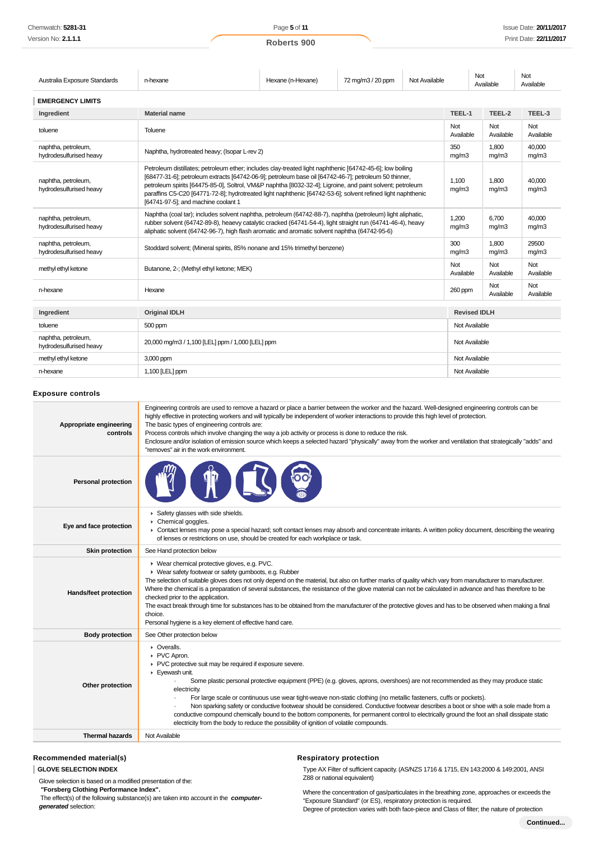| Australia Exposure Standards                   | n-hexane                                                                                                                                                                                                                                                                                                                                                                                                                                                                             | Hexane (n-Hexane) | 72 mg/m3 / 20 ppm | Not Available |                  | Not<br>Available    | Not<br>Available |
|------------------------------------------------|--------------------------------------------------------------------------------------------------------------------------------------------------------------------------------------------------------------------------------------------------------------------------------------------------------------------------------------------------------------------------------------------------------------------------------------------------------------------------------------|-------------------|-------------------|---------------|------------------|---------------------|------------------|
| <b>EMERGENCY LIMITS</b>                        |                                                                                                                                                                                                                                                                                                                                                                                                                                                                                      |                   |                   |               |                  |                     |                  |
| Ingredient                                     | <b>Material name</b>                                                                                                                                                                                                                                                                                                                                                                                                                                                                 |                   |                   |               | TEEL-1           | TEEL-2              | TEEL-3           |
| toluene                                        | Toluene                                                                                                                                                                                                                                                                                                                                                                                                                                                                              |                   |                   |               | Not<br>Available | Not<br>Available    | Not<br>Available |
| naphtha, petroleum,<br>hydrodesulfurised heavy | Naphtha, hydrotreated heavy; (Isopar L-rev 2)                                                                                                                                                                                                                                                                                                                                                                                                                                        |                   |                   |               | 350<br>mg/m3     | 1.800<br>mq/m3      | 40,000<br>mg/m3  |
| naphtha, petroleum,<br>hydrodesulfurised heavy | Petroleum distillates; petroleum ether; includes clay-treated light naphthenic [64742-45-6]; low boiling<br>[68477-31-6]; petroleum extracts [64742-06-9]; petroleum base oil [64742-46-7]; petroleum 50 thinner,<br>petroleum spirits [64475-85-0], Soltrol, VM&P naphtha [8032-32-4]; Ligroine, and paint solvent; petroleum<br>paraffins C5-C20 [64771-72-8]; hydrotreated light naphthenic [64742-53-6]; solvent refined light naphthenic<br>[64741-97-5]; and machine coolant 1 |                   |                   |               | 1.100<br>mg/m3   | 1.800<br>mg/m3      | 40,000<br>mg/m3  |
| naphtha, petroleum,<br>hydrodesulfurised heavy | Naphtha (coal tar); includes solvent naphtha, petroleum (64742-88-7), naphtha (petroleum) light aliphatic,<br>rubber solvent (64742-89-8), heaevy catalytic cracked (64741-54-4), light straight run (64741-46-4), heavy<br>aliphatic solvent (64742-96-7), high flash aromatic and aromatic solvent naphtha (64742-95-6)                                                                                                                                                            |                   |                   |               | 1.200<br>mq/m3   | 6.700<br>mq/m3      | 40.000<br>mg/m3  |
| naphtha, petroleum,<br>hydrodesulfurised heavy | Stoddard solvent; (Mineral spirits, 85% nonane and 15% trimethyl benzene)                                                                                                                                                                                                                                                                                                                                                                                                            |                   |                   |               | 300<br>mg/m3     | 1.800<br>mq/m3      | 29500<br>mg/m3   |
| methyl ethyl ketone                            | Butanone, 2-; (Methyl ethyl ketone; MEK)                                                                                                                                                                                                                                                                                                                                                                                                                                             |                   |                   |               | Not<br>Available | Not<br>Available    | Not<br>Available |
| n-hexane                                       | Hexane                                                                                                                                                                                                                                                                                                                                                                                                                                                                               |                   |                   |               | 260 ppm          | Not<br>Available    | Not<br>Available |
| Ingredient                                     | <b>Original IDLH</b>                                                                                                                                                                                                                                                                                                                                                                                                                                                                 |                   |                   |               |                  | <b>Revised IDLH</b> |                  |
| toluene                                        | 500 ppm                                                                                                                                                                                                                                                                                                                                                                                                                                                                              |                   |                   |               | Not Available    |                     |                  |
| naphtha, petroleum,<br>hydrodesulfurised heavy | 20,000 mg/m3 / 1,100 [LEL] ppm / 1,000 [LEL] ppm                                                                                                                                                                                                                                                                                                                                                                                                                                     |                   | Not Available     |               |                  |                     |                  |
| methyl ethyl ketone                            | 3,000 ppm                                                                                                                                                                                                                                                                                                                                                                                                                                                                            |                   | Not Available     |               |                  |                     |                  |
| n-hexane                                       | 1,100 [LEL] ppm                                                                                                                                                                                                                                                                                                                                                                                                                                                                      |                   | Not Available     |               |                  |                     |                  |

#### **Exposure controls**

| <b>Personal protection</b><br>Safety glasses with side shields.<br>Chemical goggles.<br>Eye and face protection<br>> Contact lenses may pose a special hazard; soft contact lenses may absorb and concentrate irritants. A written policy document, describing the wearing<br>of lenses or restrictions on use, should be created for each workplace or task.<br><b>Skin protection</b><br>See Hand protection below<br>▶ Wear chemical protective gloves, e.g. PVC.<br>▶ Wear safety footwear or safety gumboots, e.g. Rubber<br>The selection of suitable gloves does not only depend on the material, but also on further marks of quality which vary from manufacturer to manufacturer.<br>Where the chemical is a preparation of several substances, the resistance of the glove material can not be calculated in advance and has therefore to be<br>Hands/feet protection<br>checked prior to the application.<br>The exact break through time for substances has to be obtained from the manufacturer of the protective gloves and has to be observed when making a final<br>choice.<br>Personal hygiene is a key element of effective hand care.<br><b>Body protection</b><br>See Other protection below<br>$\triangleright$ Overalls.<br>PVC Apron.<br>▶ PVC protective suit may be required if exposure severe.<br>Eyewash unit.<br>Some plastic personal protective equipment (PPE) (e.g. gloves, aprons, overshoes) are not recommended as they may produce static<br>Other protection<br>electricity.<br>For large scale or continuous use wear tight-weave non-static clothing (no metallic fasteners, cuffs or pockets).<br>Non sparking safety or conductive footwear should be considered. Conductive footwear describes a boot or shoe with a sole made from a<br>conductive compound chemically bound to the bottom components, for permanent control to electrically ground the foot an shall dissipate static<br>electricity from the body to reduce the possibility of ignition of volatile compounds.<br><b>Thermal hazards</b><br>Not Available | Appropriate engineering<br>controls | Engineering controls are used to remove a hazard or place a barrier between the worker and the hazard. Well-designed engineering controls can be<br>highly effective in protecting workers and will typically be independent of worker interactions to provide this high level of protection.<br>The basic types of engineering controls are:<br>Process controls which involve changing the way a job activity or process is done to reduce the risk.<br>Enclosure and/or isolation of emission source which keeps a selected hazard "physically" away from the worker and ventilation that strategically "adds" and<br>"removes" air in the work environment. |
|--------------------------------------------------------------------------------------------------------------------------------------------------------------------------------------------------------------------------------------------------------------------------------------------------------------------------------------------------------------------------------------------------------------------------------------------------------------------------------------------------------------------------------------------------------------------------------------------------------------------------------------------------------------------------------------------------------------------------------------------------------------------------------------------------------------------------------------------------------------------------------------------------------------------------------------------------------------------------------------------------------------------------------------------------------------------------------------------------------------------------------------------------------------------------------------------------------------------------------------------------------------------------------------------------------------------------------------------------------------------------------------------------------------------------------------------------------------------------------------------------------------------------------------------------------------------------------------------------------------------------------------------------------------------------------------------------------------------------------------------------------------------------------------------------------------------------------------------------------------------------------------------------------------------------------------------------------------------------------------------------------------------------------------------------------------------------|-------------------------------------|-----------------------------------------------------------------------------------------------------------------------------------------------------------------------------------------------------------------------------------------------------------------------------------------------------------------------------------------------------------------------------------------------------------------------------------------------------------------------------------------------------------------------------------------------------------------------------------------------------------------------------------------------------------------|
|                                                                                                                                                                                                                                                                                                                                                                                                                                                                                                                                                                                                                                                                                                                                                                                                                                                                                                                                                                                                                                                                                                                                                                                                                                                                                                                                                                                                                                                                                                                                                                                                                                                                                                                                                                                                                                                                                                                                                                                                                                                                          |                                     |                                                                                                                                                                                                                                                                                                                                                                                                                                                                                                                                                                                                                                                                 |
|                                                                                                                                                                                                                                                                                                                                                                                                                                                                                                                                                                                                                                                                                                                                                                                                                                                                                                                                                                                                                                                                                                                                                                                                                                                                                                                                                                                                                                                                                                                                                                                                                                                                                                                                                                                                                                                                                                                                                                                                                                                                          |                                     |                                                                                                                                                                                                                                                                                                                                                                                                                                                                                                                                                                                                                                                                 |
|                                                                                                                                                                                                                                                                                                                                                                                                                                                                                                                                                                                                                                                                                                                                                                                                                                                                                                                                                                                                                                                                                                                                                                                                                                                                                                                                                                                                                                                                                                                                                                                                                                                                                                                                                                                                                                                                                                                                                                                                                                                                          |                                     |                                                                                                                                                                                                                                                                                                                                                                                                                                                                                                                                                                                                                                                                 |
|                                                                                                                                                                                                                                                                                                                                                                                                                                                                                                                                                                                                                                                                                                                                                                                                                                                                                                                                                                                                                                                                                                                                                                                                                                                                                                                                                                                                                                                                                                                                                                                                                                                                                                                                                                                                                                                                                                                                                                                                                                                                          |                                     |                                                                                                                                                                                                                                                                                                                                                                                                                                                                                                                                                                                                                                                                 |
|                                                                                                                                                                                                                                                                                                                                                                                                                                                                                                                                                                                                                                                                                                                                                                                                                                                                                                                                                                                                                                                                                                                                                                                                                                                                                                                                                                                                                                                                                                                                                                                                                                                                                                                                                                                                                                                                                                                                                                                                                                                                          |                                     |                                                                                                                                                                                                                                                                                                                                                                                                                                                                                                                                                                                                                                                                 |
|                                                                                                                                                                                                                                                                                                                                                                                                                                                                                                                                                                                                                                                                                                                                                                                                                                                                                                                                                                                                                                                                                                                                                                                                                                                                                                                                                                                                                                                                                                                                                                                                                                                                                                                                                                                                                                                                                                                                                                                                                                                                          |                                     |                                                                                                                                                                                                                                                                                                                                                                                                                                                                                                                                                                                                                                                                 |
|                                                                                                                                                                                                                                                                                                                                                                                                                                                                                                                                                                                                                                                                                                                                                                                                                                                                                                                                                                                                                                                                                                                                                                                                                                                                                                                                                                                                                                                                                                                                                                                                                                                                                                                                                                                                                                                                                                                                                                                                                                                                          |                                     |                                                                                                                                                                                                                                                                                                                                                                                                                                                                                                                                                                                                                                                                 |

#### **Recommended material(s)**

**GLOVE SELECTION INDEX**

Glove selection is based on a modified presentation of the:

 **"Forsberg Clothing Performance Index".**

 The effect(s) of the following substance(s) are taken into account in the **computergenerated** selection:

# **Respiratory protection**

Type AX Filter of sufficient capacity. (AS/NZS 1716 & 1715, EN 143:2000 & 149:2001, ANSI Z88 or national equivalent)

Where the concentration of gas/particulates in the breathing zone, approaches or exceeds the "Exposure Standard" (or ES), respiratory protection is required.

Degree of protection varies with both face-piece and Class of filter; the nature of protection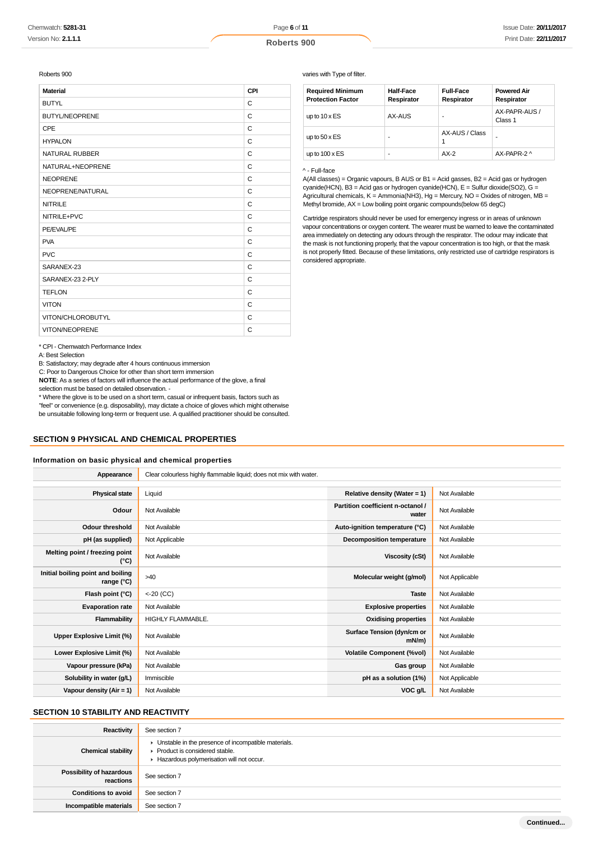Page **6** of **11**

Roberts 900

| <b>Material</b>       | CPI |
|-----------------------|-----|
| <b>BUTYL</b>          | C   |
| <b>BUTYL/NEOPRENE</b> | C   |
| CPE                   | C   |
| <b>HYPALON</b>        | C   |
| <b>NATURAL RUBBER</b> | C   |
| NATURAL+NEOPRENE      | C   |
| <b>NEOPRENE</b>       | C   |
| NEOPRENE/NATURAL      | C   |
| <b>NITRILE</b>        | C   |
| NITRILE+PVC           | C   |
| PE/EVAL/PE            | C   |
| <b>PVA</b>            | C   |
| <b>PVC</b>            | C   |
| SARANEX-23            | C   |
| SARANEX-23 2-PLY      | C   |
| <b>TEFLON</b>         | C   |
| <b>VITON</b>          | C   |
| VITON/CHLOROBUTYL     | C   |
| <b>VITON/NEOPRENE</b> | C   |

varies with Type of filter.

| <b>Required Minimum</b><br><b>Protection Factor</b> | <b>Half-Face</b><br>Respirator | <b>Full-Face</b><br>Respirator | <b>Powered Air</b><br>Respirator |
|-----------------------------------------------------|--------------------------------|--------------------------------|----------------------------------|
| up to $10 \times ES$                                | AX-AUS                         |                                | AX-PAPR-AUS /<br>Class 1         |
| up to $50 \times ES$                                | ۰                              | AX-AUS / Class                 |                                  |
| up to $100 \times ES$                               | ۰                              | $AX-2$                         | AX-PAPR-2 ^                      |

#### ^ - Full-face

A(All classes) = Organic vapours, B AUS or B1 = Acid gasses, B2 = Acid gas or hydrogen cyanide(HCN), B3 = Acid gas or hydrogen cyanide(HCN), E = Sulfur dioxide(SO2), G = Agricultural chemicals, K = Ammonia(NH3), Hg = Mercury, NO = Oxides of nitrogen, MB = Methyl bromide, AX = Low boiling point organic compounds(below 65 degC)

Cartridge respirators should never be used for emergency ingress or in areas of unknown vapour concentrations or oxygen content. The wearer must be warned to leave the contaminated area immediately on detecting any odours through the respirator. The odour may indicate that the mask is not functioning properly, that the vapour concentration is too high, or that the mask is not properly fitted. Because of these limitations, only restricted use of cartridge respirators is considered appropriate.

\* CPI - Chemwatch Performance Index

A: Best Selection

B: Satisfactory; may degrade after 4 hours continuous immersion

C: Poor to Dangerous Choice for other than short term immersion

**NOTE**: As a series of factors will influence the actual performance of the glove, a final

selection must be based on detailed observation. -

\* Where the glove is to be used on a short term, casual or infrequent basis, factors such as "feel" or convenience (e.g. disposability), may dictate a choice of gloves which might otherwise be unsuitable following long-term or frequent use. A qualified practitioner should be consulted.

#### **SECTION 9 PHYSICAL AND CHEMICAL PROPERTIES**

#### **Information on basic physical and chemical properties**

| Appearance                                      | Clear colourless highly flammable liquid; does not mix with water. |                                            |                |
|-------------------------------------------------|--------------------------------------------------------------------|--------------------------------------------|----------------|
|                                                 |                                                                    |                                            |                |
| <b>Physical state</b>                           | Liquid                                                             | Relative density (Water = $1$ )            | Not Available  |
| Odour                                           | Not Available                                                      | Partition coefficient n-octanol /<br>water | Not Available  |
| <b>Odour threshold</b>                          | Not Available                                                      | Auto-ignition temperature (°C)             | Not Available  |
| pH (as supplied)                                | Not Applicable                                                     | <b>Decomposition temperature</b>           | Not Available  |
| Melting point / freezing point<br>(°C)          | Not Available                                                      | <b>Viscosity (cSt)</b>                     | Not Available  |
| Initial boiling point and boiling<br>range (°C) | >40                                                                | Molecular weight (g/mol)                   | Not Applicable |
| Flash point (°C)                                | $< 20$ (CC)                                                        | <b>Taste</b>                               | Not Available  |
| <b>Evaporation rate</b>                         | Not Available                                                      | <b>Explosive properties</b>                | Not Available  |
| Flammability                                    | <b>HIGHLY FLAMMABLE.</b>                                           | <b>Oxidising properties</b>                | Not Available  |
| Upper Explosive Limit (%)                       | Not Available                                                      | Surface Tension (dyn/cm or<br>$mN/m$ )     | Not Available  |
| Lower Explosive Limit (%)                       | Not Available                                                      | <b>Volatile Component (%vol)</b>           | Not Available  |
| Vapour pressure (kPa)                           | Not Available                                                      | Gas group                                  | Not Available  |
| Solubility in water (g/L)                       | Immiscible                                                         | pH as a solution (1%)                      | Not Applicable |
| Vapour density (Air = 1)                        | Not Available                                                      | VOC g/L                                    | Not Available  |

#### **SECTION 10 STABILITY AND REACTIVITY**

| Reactivity                                   | See section 7                                                                                                                        |
|----------------------------------------------|--------------------------------------------------------------------------------------------------------------------------------------|
| <b>Chemical stability</b>                    | • Unstable in the presence of incompatible materials.<br>▶ Product is considered stable.<br>Hazardous polymerisation will not occur. |
| <b>Possibility of hazardous</b><br>reactions | See section 7                                                                                                                        |
| <b>Conditions to avoid</b>                   | See section 7                                                                                                                        |
| Incompatible materials                       | See section 7                                                                                                                        |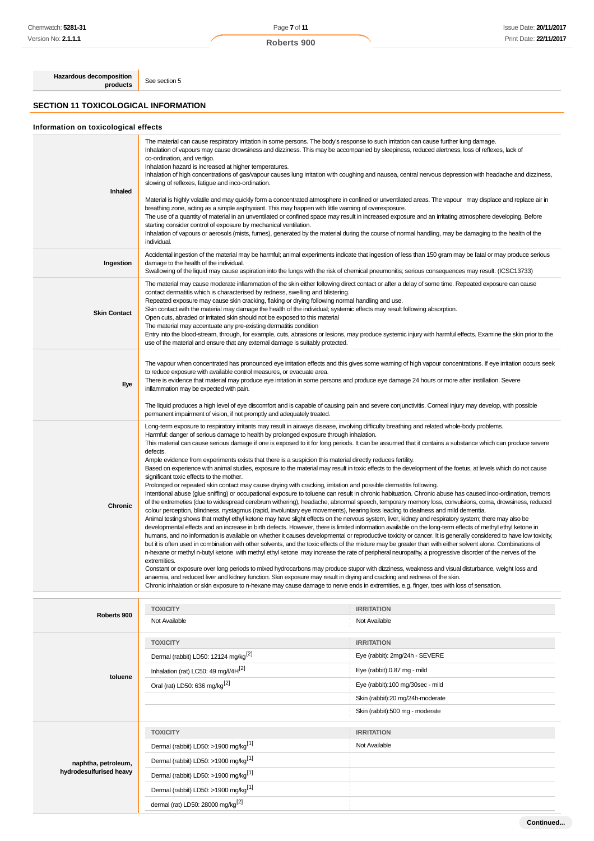Page **7** of **11**

**Hazardous decomposition products** See section 5

**SECTION 11 TOXICOLOGICAL INFORMATION**

# **Information on toxicological effects**

| Inhaled             | The material can cause respiratory irritation in some persons. The body's response to such irritation can cause further lung damage.<br>Inhalation of vapours may cause drowsiness and dizziness. This may be accompanied by sleepiness, reduced alertness, loss of reflexes, lack of<br>co-ordination, and vertigo.<br>Inhalation hazard is increased at higher temperatures.<br>Inhalation of high concentrations of gas/vapour causes lung irritation with coughing and nausea, central nervous depression with headache and dizziness,<br>slowing of reflexes, fatigue and inco-ordination.<br>Material is highly volatile and may quickly form a concentrated atmosphere in confined or unventilated areas. The vapour may displace and replace air in<br>breathing zone, acting as a simple asphyxiant. This may happen with little warning of overexposure.<br>The use of a quantity of material in an unventilated or confined space may result in increased exposure and an irritating atmosphere developing. Before<br>starting consider control of exposure by mechanical ventilation.<br>Inhalation of vapours or aerosols (mists, fumes), generated by the material during the course of normal handling, may be damaging to the health of the<br>individual.                                                                                                                                                                                                                                                                                                                                                                                                                                                                                                                                                                                                                                                                                                                                                                                                                                                                                                                                                                                                                                                                                                                                                                                                                                                                                                       |
|---------------------|----------------------------------------------------------------------------------------------------------------------------------------------------------------------------------------------------------------------------------------------------------------------------------------------------------------------------------------------------------------------------------------------------------------------------------------------------------------------------------------------------------------------------------------------------------------------------------------------------------------------------------------------------------------------------------------------------------------------------------------------------------------------------------------------------------------------------------------------------------------------------------------------------------------------------------------------------------------------------------------------------------------------------------------------------------------------------------------------------------------------------------------------------------------------------------------------------------------------------------------------------------------------------------------------------------------------------------------------------------------------------------------------------------------------------------------------------------------------------------------------------------------------------------------------------------------------------------------------------------------------------------------------------------------------------------------------------------------------------------------------------------------------------------------------------------------------------------------------------------------------------------------------------------------------------------------------------------------------------------------------------------------------------------------------------------------------------------------------------------------------------------------------------------------------------------------------------------------------------------------------------------------------------------------------------------------------------------------------------------------------------------------------------------------------------------------------------------------------------------------------------------------------------------------------------------------------------------|
| Ingestion           | Accidental ingestion of the material may be harmful; animal experiments indicate that ingestion of less than 150 gram may be fatal or may produce serious<br>damage to the health of the individual.<br>Swallowing of the liquid may cause aspiration into the lungs with the risk of chemical pneumonitis; serious consequences may result. (ICSC13733)                                                                                                                                                                                                                                                                                                                                                                                                                                                                                                                                                                                                                                                                                                                                                                                                                                                                                                                                                                                                                                                                                                                                                                                                                                                                                                                                                                                                                                                                                                                                                                                                                                                                                                                                                                                                                                                                                                                                                                                                                                                                                                                                                                                                                         |
| <b>Skin Contact</b> | The material may cause moderate inflammation of the skin either following direct contact or after a delay of some time. Repeated exposure can cause<br>contact dermatitis which is characterised by redness, swelling and blistering.<br>Repeated exposure may cause skin cracking, flaking or drying following normal handling and use.<br>Skin contact with the material may damage the health of the individual; systemic effects may result following absorption.<br>Open cuts, abraded or irritated skin should not be exposed to this material<br>The material may accentuate any pre-existing dermatitis condition<br>Entry into the blood-stream, through, for example, cuts, abrasions or lesions, may produce systemic injury with harmful effects. Examine the skin prior to the<br>use of the material and ensure that any external damage is suitably protected.                                                                                                                                                                                                                                                                                                                                                                                                                                                                                                                                                                                                                                                                                                                                                                                                                                                                                                                                                                                                                                                                                                                                                                                                                                                                                                                                                                                                                                                                                                                                                                                                                                                                                                    |
| Eye                 | The vapour when concentrated has pronounced eye irritation effects and this gives some warning of high vapour concentrations. If eye irritation occurs seek<br>to reduce exposure with available control measures, or evacuate area.<br>There is evidence that material may produce eye irritation in some persons and produce eye damage 24 hours or more after instillation. Severe<br>inflammation may be expected with pain.<br>The liquid produces a high level of eye discomfort and is capable of causing pain and severe conjunctivitis. Corneal injury may develop, with possible<br>permanent impairment of vision, if not promptly and adequately treated.                                                                                                                                                                                                                                                                                                                                                                                                                                                                                                                                                                                                                                                                                                                                                                                                                                                                                                                                                                                                                                                                                                                                                                                                                                                                                                                                                                                                                                                                                                                                                                                                                                                                                                                                                                                                                                                                                                            |
| Chronic             | Long-term exposure to respiratory irritants may result in airways disease, involving difficulty breathing and related whole-body problems.<br>Harmful: danger of serious damage to health by prolonged exposure through inhalation.<br>This material can cause serious damage if one is exposed to it for long periods. It can be assumed that it contains a substance which can produce severe<br>defects.<br>Ample evidence from experiments exists that there is a suspicion this material directly reduces fertility.<br>Based on experience with animal studies, exposure to the material may result in toxic effects to the development of the foetus, at levels which do not cause<br>significant toxic effects to the mother.<br>Prolonged or repeated skin contact may cause drying with cracking, irritation and possible dermatitis following.<br>Intentional abuse (glue sniffing) or occupational exposure to toluene can result in chronic habituation. Chronic abuse has caused inco-ordination, tremors<br>of the extremeties (due to widespread cerebrum withering), headache, abnormal speech, temporary memory loss, convulsions, coma, drowsiness, reduced<br>colour perception, blindness, nystagmus (rapid, involuntary eye movements), hearing loss leading to deafness and mild dementia.<br>Animal testing shows that methyl ethyl ketone may have slight effects on the nervous system, liver, kidney and respiratory system; there may also be<br>developmental effects and an increase in birth defects. However, there is limited information available on the long-term effects of methyl ethyl ketone in<br>humans, and no information is available on whether it causes developmental or reproductive toxicity or cancer. It is generally considered to have low toxicity,<br>but it is often used in combination with other solvents, and the toxic effects of the mixture may be greater than with either solvent alone. Combinations of<br>n-hexane or methyl n-butyl ketone with methyl ethyl ketone may increase the rate of peripheral neuropathy, a progressive disorder of the nerves of the<br>extremities.<br>Constant or exposure over long periods to mixed hydrocarbons may produce stupor with dizziness, weakness and visual disturbance, weight loss and<br>anaemia, and reduced liver and kidney function. Skin exposure may result in drying and cracking and redness of the skin.<br>Chronic inhalation or skin exposure to n-hexane may cause damage to nerve ends in extremities, e.g. finger, toes with loss of sensation. |

| Roberts 900                                    | <b>TOXICITY</b>                                  | <b>IRRITATION</b>                |
|------------------------------------------------|--------------------------------------------------|----------------------------------|
|                                                | Not Available                                    | Not Available                    |
|                                                | <b>TOXICITY</b>                                  | <b>IRRITATION</b>                |
|                                                | Dermal (rabbit) LD50: 12124 mg/kg <sup>[2]</sup> | Eye (rabbit): 2mg/24h - SEVERE   |
| toluene                                        | Inhalation (rat) LC50: 49 mg/l/4H <sup>[2]</sup> | Eye (rabbit):0.87 mg - mild      |
|                                                | Oral (rat) LD50: 636 mg/kg <sup>[2]</sup>        | Eye (rabbit):100 mg/30sec - mild |
|                                                |                                                  | Skin (rabbit):20 mg/24h-moderate |
|                                                |                                                  | Skin (rabbit):500 mg - moderate  |
|                                                | <b>TOXICITY</b>                                  | <b>IRRITATION</b>                |
|                                                | Dermal (rabbit) LD50: >1900 mg/kg <sup>[1]</sup> | Not Available                    |
| naphtha, petroleum,<br>hydrodesulfurised heavy | Dermal (rabbit) LD50: >1900 mg/kg <sup>[1]</sup> |                                  |
|                                                | Dermal (rabbit) LD50: >1900 mg/kg <sup>[1]</sup> |                                  |
|                                                | Dermal (rabbit) LD50: >1900 mg/kg <sup>[1]</sup> |                                  |
|                                                | dermal (rat) LD50: 28000 mg/kg <sup>[2]</sup>    |                                  |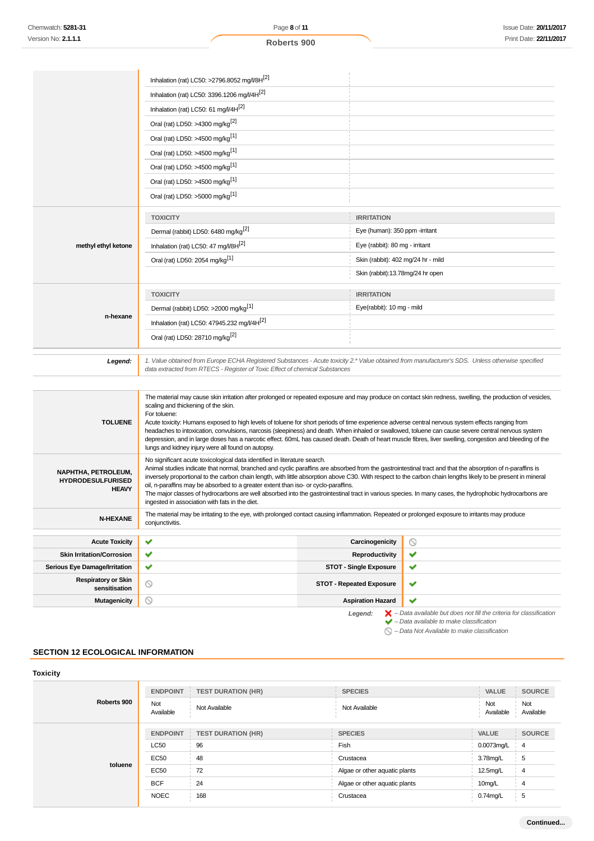|                                                           | Inhalation (rat) LC50: >2796.8052 mg/l/8H[2]                                                                                                                                                                                                                                                                     |                                    |                           |  |
|-----------------------------------------------------------|------------------------------------------------------------------------------------------------------------------------------------------------------------------------------------------------------------------------------------------------------------------------------------------------------------------|------------------------------------|---------------------------|--|
|                                                           | Inhalation (rat) LC50: 3396.1206 mg/l/4H <sup>[2]</sup>                                                                                                                                                                                                                                                          |                                    |                           |  |
|                                                           | Inhalation (rat) LC50: 61 mg//4H[2]                                                                                                                                                                                                                                                                              |                                    |                           |  |
|                                                           | Oral (rat) LD50: >4300 mg/kg <sup>[2]</sup>                                                                                                                                                                                                                                                                      |                                    |                           |  |
|                                                           | Oral (rat) LD50: >4500 mg/kg <sup>[1]</sup>                                                                                                                                                                                                                                                                      |                                    |                           |  |
|                                                           | Oral (rat) LD50: >4500 mg/kg <sup>[1]</sup>                                                                                                                                                                                                                                                                      |                                    |                           |  |
|                                                           | Oral (rat) LD50: >4500 mg/kg <sup>[1]</sup>                                                                                                                                                                                                                                                                      |                                    |                           |  |
|                                                           | Oral (rat) LD50: >4500 mg/kg <sup>[1]</sup>                                                                                                                                                                                                                                                                      |                                    |                           |  |
|                                                           | Oral (rat) LD50: >5000 mg/kg <sup>[1]</sup>                                                                                                                                                                                                                                                                      |                                    |                           |  |
|                                                           | <b>TOXICITY</b>                                                                                                                                                                                                                                                                                                  | <b>IRRITATION</b>                  |                           |  |
|                                                           | Dermal (rabbit) LD50: 6480 mg/kg <sup>[2]</sup>                                                                                                                                                                                                                                                                  | Eye (human): 350 ppm -irritant     |                           |  |
| methyl ethyl ketone                                       | Inhalation (rat) LC50: 47 mg/l/8H[2]                                                                                                                                                                                                                                                                             | Eye (rabbit): 80 mg - irritant     |                           |  |
|                                                           | Oral (rat) LD50: 2054 mg/kg <sup>[1]</sup>                                                                                                                                                                                                                                                                       | Skin (rabbit): 402 mg/24 hr - mild |                           |  |
|                                                           |                                                                                                                                                                                                                                                                                                                  | Skin (rabbit):13.78mg/24 hr open   |                           |  |
|                                                           | <b>TOXICITY</b>                                                                                                                                                                                                                                                                                                  | <b>IRRITATION</b>                  |                           |  |
|                                                           | Dermal (rabbit) LD50: >2000 mg/kg <sup>[1]</sup>                                                                                                                                                                                                                                                                 |                                    | Eye(rabbit): 10 mg - mild |  |
| n-hexane                                                  | Inhalation (rat) LC50: 47945.232 mg/l/4H <sup>[2]</sup>                                                                                                                                                                                                                                                          |                                    |                           |  |
|                                                           | Oral (rat) LD50: 28710 mg/kg <sup>[2]</sup>                                                                                                                                                                                                                                                                      |                                    |                           |  |
|                                                           |                                                                                                                                                                                                                                                                                                                  |                                    |                           |  |
| Legend:                                                   | 1. Value obtained from Europe ECHA Registered Substances - Acute toxicity 2.* Value obtained from manufacturer's SDS. Unless otherwise specified<br>data extracted from RTECS - Register of Toxic Effect of chemical Substances                                                                                  |                                    |                           |  |
|                                                           |                                                                                                                                                                                                                                                                                                                  |                                    |                           |  |
|                                                           | The material may cause skin irritation after prolonged or repeated exposure and may produce on contact skin redness, swelling, the production of vesicles,<br>scaling and thickening of the skin.                                                                                                                |                                    |                           |  |
| <b>TOLUENE</b>                                            | For toluene:<br>Acute toxicity: Humans exposed to high levels of toluene for short periods of time experience adverse central nervous system effects ranging from                                                                                                                                                |                                    |                           |  |
|                                                           | headaches to intoxication, convulsions, narcosis (sleepiness) and death. When inhaled or swallowed, toluene can cause severe central nervous system<br>depression, and in large doses has a narcotic effect. 60mL has caused death. Death of heart muscle fibres, liver swelling, congestion and bleeding of the |                                    |                           |  |
|                                                           | lungs and kidney injury were all found on autopsy.                                                                                                                                                                                                                                                               |                                    |                           |  |
|                                                           | No significant acute toxicological data identified in literature search.<br>Animal studies indicate that normal, branched and cyclic paraffins are absorbed from the gastrointestinal tract and that the absorption of n-paraffins is                                                                            |                                    |                           |  |
| NAPHTHA, PETROLEUM,<br><b>HYDRODESULFURISED</b>           | inversely proportional to the carbon chain length, with little absorption above C30. With respect to the carbon chain lengths likely to be present in mineral<br>oil, n-paraffins may be absorbed to a greater extent than iso- or cyclo-paraffins.                                                              |                                    |                           |  |
| <b>HEAVY</b>                                              | The major classes of hydrocarbons are well absorbed into the gastrointestinal tract in various species. In many cases, the hydrophobic hydrocarbons are<br>ingested in association with fats in the diet.                                                                                                        |                                    |                           |  |
| N-HEXANE                                                  | The material may be irritating to the eye, with prolonged contact causing inflammation. Repeated or prolonged exposure to irritants may produce<br>conjunctivitis.                                                                                                                                               |                                    |                           |  |
|                                                           |                                                                                                                                                                                                                                                                                                                  |                                    |                           |  |
| <b>Acute Toxicity</b><br><b>Skin Irritation/Corrosion</b> | ✔<br>v                                                                                                                                                                                                                                                                                                           | Carcinogenicity<br>Reproductivity  | $\circledcirc$<br>✔       |  |
| <b>Serious Eye Damage/Irritation</b>                      | ✔                                                                                                                                                                                                                                                                                                                | <b>STOT - Single Exposure</b>      | ✔                         |  |
| <b>Respiratory or Skin</b>                                |                                                                                                                                                                                                                                                                                                                  |                                    |                           |  |
| sensitisation                                             | $\circledcirc$                                                                                                                                                                                                                                                                                                   | <b>STOT - Repeated Exposure</b>    | ✔                         |  |

 $\checkmark$ 

Legend:  $\blacktriangleright$  - Data available but does not fill the criteria for classification<br>  $\blacktriangleright$  - Data available to make classification

 $\bigcirc$  – Data Not Available to make classification

# **SECTION 12 ECOLOGICAL INFORMATION**

| <b>Toxicity</b> |                  |                           |                               |                  |                  |
|-----------------|------------------|---------------------------|-------------------------------|------------------|------------------|
| Roberts 900     | <b>ENDPOINT</b>  | <b>TEST DURATION (HR)</b> | <b>SPECIES</b>                | VALUE            | <b>SOURCE</b>    |
|                 | Not<br>Available | Not Available             | Not Available                 | Not<br>Available | Not<br>Available |
| toluene         | <b>ENDPOINT</b>  | <b>TEST DURATION (HR)</b> | <b>SPECIES</b>                | <b>VALUE</b>     | <b>SOURCE</b>    |
|                 | <b>LC50</b>      | 96                        | Fish                          | 0.0073mg/L       | -4               |
|                 | EC50             | 48                        | Crustacea                     | 3.78mg/L         | 5                |
|                 | <b>EC50</b>      | 72                        | Algae or other aquatic plants | 12.5mg/L         | 4                |
|                 | <b>BCF</b>       | 24                        | Algae or other aquatic plants | 10mg/L           | 4                |
|                 | <b>NOEC</b>      | 168                       | Crustacea                     | $0.74$ mg/L      | 5                |

**Mutagenicity Aspiration Hazard**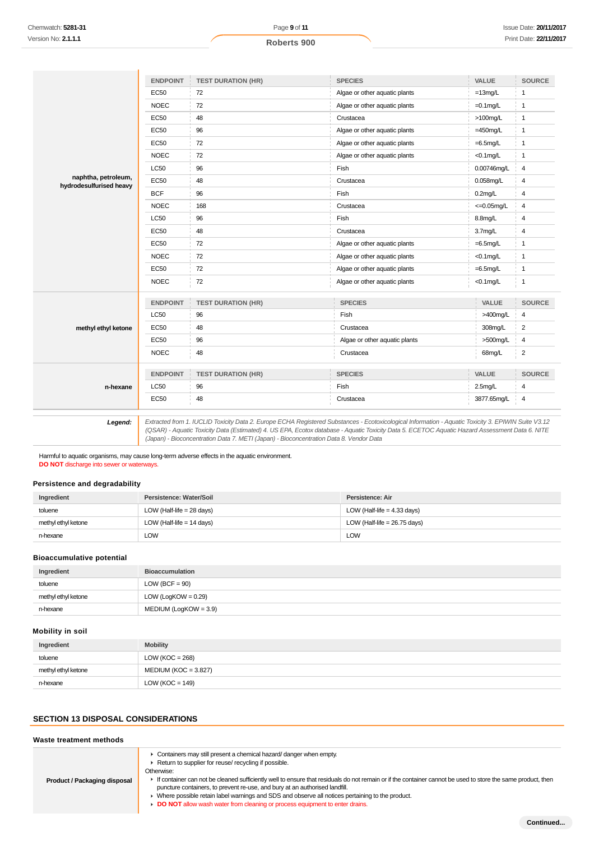|                                                | <b>ENDPOINT</b> | <b>TEST DURATION (HR)</b> | <b>SPECIES</b>                | VALUE                  | <b>SOURCE</b>           |
|------------------------------------------------|-----------------|---------------------------|-------------------------------|------------------------|-------------------------|
|                                                | <b>EC50</b>     | 72                        | Algae or other aquatic plants | $=13$ mg/L             | $\mathbf{1}$            |
|                                                | <b>NOEC</b>     | 72                        | Algae or other aquatic plants | $=0.1$ mg/L            | $\mathbf{1}$            |
|                                                | <b>EC50</b>     | 48                        | Crustacea                     | $>100$ mg/L            | $\mathbf{1}$            |
|                                                | <b>EC50</b>     | 96                        | Algae or other aquatic plants | $=450$ mg/L            | $\mathbf{1}$            |
|                                                | EC50            | 72                        | Algae or other aquatic plants | $=6.5$ mg/L            | $\mathbf{1}$            |
|                                                | <b>NOEC</b>     | 72                        | Algae or other aquatic plants | $<$ 0.1mg/L            | $\mathbf{1}$            |
|                                                | LC50            | 96                        | Fish                          | 0.00746mg/L            | 4                       |
| naphtha, petroleum,<br>hydrodesulfurised heavy | <b>EC50</b>     | 48                        | Crustacea                     | 0.058mg/L              | 4                       |
|                                                | <b>BCF</b>      | 96                        | Fish                          | $0.2$ mg/L             | 4                       |
|                                                | <b>NOEC</b>     | 168                       | Crustacea                     | $\epsilon = 0.05$ mg/L | 4                       |
|                                                | <b>LC50</b>     | 96                        | Fish                          | 8.8mg/L                | $\overline{4}$          |
|                                                | <b>EC50</b>     | 48                        | Crustacea                     | 3.7mg/L                | 4                       |
|                                                | <b>EC50</b>     | 72                        | Algae or other aquatic plants | $=6.5$ mg/L            | $\mathbf{1}$            |
|                                                | <b>NOEC</b>     | 72                        | Algae or other aquatic plants | $<$ 0.1 $mg/L$         | $\mathbf{1}$            |
|                                                | <b>EC50</b>     | 72                        | Algae or other aquatic plants | $=6.5$ mg/L            | $\mathbf{1}$            |
|                                                | <b>NOEC</b>     | 72                        | Algae or other aquatic plants | $<$ 0.1mg/L            | $\mathbf{1}$            |
|                                                | <b>ENDPOINT</b> | <b>TEST DURATION (HR)</b> | <b>SPECIES</b>                | VALUE                  | <b>SOURCE</b>           |
|                                                | <b>LC50</b>     | 96                        | Fish                          | $>400$ mg/L            | 4                       |
| methyl ethyl ketone                            | <b>EC50</b>     | 48                        | Crustacea                     | 308mg/L                | $\overline{\mathbf{c}}$ |
|                                                | EC50            | 96                        | Algae or other aquatic plants | >500mg/L               | 4                       |
|                                                | <b>NOEC</b>     | 48                        | Crustacea                     | 68mg/L                 | $\overline{\mathbf{c}}$ |
|                                                | <b>ENDPOINT</b> | <b>TEST DURATION (HR)</b> | <b>SPECIES</b>                | VALUE                  | <b>SOURCE</b>           |
| n-hexane                                       | <b>LC50</b>     | 96                        | Fish                          | 2.5 <sub>mg</sub> /L   | 4                       |
|                                                | <b>EC50</b>     | 48                        | Crustacea                     | 3877.65mg/L            | 4                       |

Harmful to aquatic organisms, may cause long-term adverse effects in the aquatic environment.

**DO NOT** discharge into sewer or waterways.

#### **Persistence and degradability**

| Ingredient          | Persistence: Water/Soil     | Persistence: Air               |
|---------------------|-----------------------------|--------------------------------|
| toluene             | LOW (Half-life = $28$ days) | LOW (Half-life = $4.33$ days)  |
| methyl ethyl ketone | LOW (Half-life $= 14$ days) | LOW (Half-life = $26.75$ days) |
| n-hexane            | LOW                         | <b>LOW</b>                     |

(Japan) - Bioconcentration Data 7. METI (Japan) - Bioconcentration Data 8. Vendor Data

## **Bioaccumulative potential**

| Ingredient          | <b>Bioaccumulation</b> |
|---------------------|------------------------|
| toluene             | LOW (BCF = $90$ )      |
| methyl ethyl ketone | LOW (LogKOW = $0.29$ ) |
| n-hexane            | MEDIUM (LogKOW = 3.9)  |

# **Mobility in soil**

| Ingredient          | <b>Mobility</b>        |
|---------------------|------------------------|
| toluene             | LOW ( $KOC = 268$ )    |
| methyl ethyl ketone | $MEDIUM (KOC = 3.827)$ |
| n-hexane            | LOW ( $KOC = 149$ )    |

# **SECTION 13 DISPOSAL CONSIDERATIONS**

### **Waste treatment methods**

| Product / Packaging disposal | Containers may still present a chemical hazard/ danger when empty.<br>Return to supplier for reuse/ recycling if possible.<br>Otherwise:<br>If container can not be cleaned sufficiently well to ensure that residuals do not remain or if the container cannot be used to store the same product, then<br>puncture containers, to prevent re-use, and bury at an authorised landfill.<br>► Where possible retain label warnings and SDS and observe all notices pertaining to the product.<br>DO NOT allow wash water from cleaning or process equipment to enter drains. |
|------------------------------|----------------------------------------------------------------------------------------------------------------------------------------------------------------------------------------------------------------------------------------------------------------------------------------------------------------------------------------------------------------------------------------------------------------------------------------------------------------------------------------------------------------------------------------------------------------------------|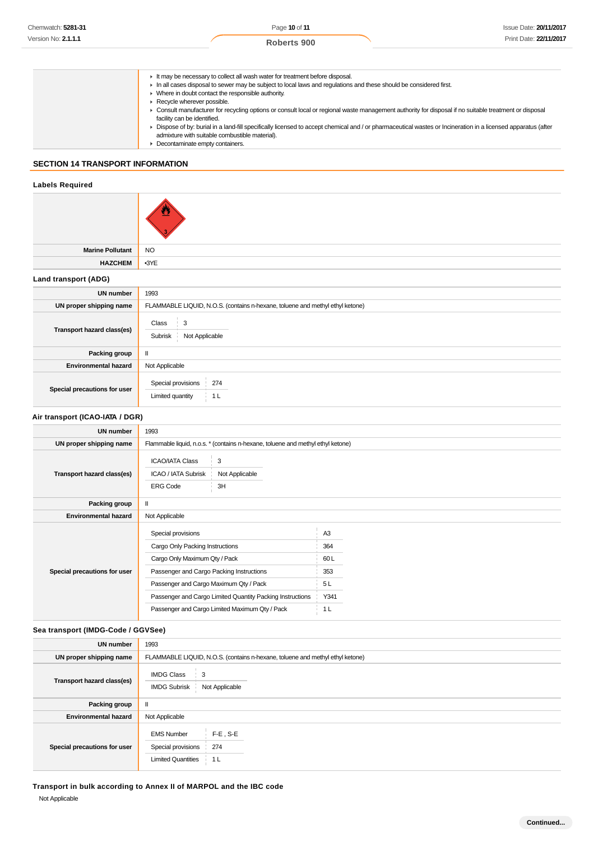- It may be necessary to collect all wash water for treatment before disposal.
- In all cases disposal to sewer may be subject to local laws and regulations and these should be considered first.
	- ▶ Where in doubt contact the responsible authority.
	- Recycle wherever possible.
	- Consult manufacturer for recycling options or consult local or regional waste management authority for disposal if no suitable treatment or disposal facility can be identified.
	- ▶ Dispose of by: burial in a land-fill specifically licensed to accept chemical and / or pharmaceutical wastes or Incineration in a licensed apparatus (after admixture with suitable combustible material).
- ▶ Decontaminate empty containers.

# **SECTION 14 TRANSPORT INFORMATION**

## **Labels Required**

| <b>Marine Pollutant</b>           | <b>NO</b>                                                                                                                          |                              |  |
|-----------------------------------|------------------------------------------------------------------------------------------------------------------------------------|------------------------------|--|
| <b>HAZCHEM</b>                    | •3YE                                                                                                                               |                              |  |
| Land transport (ADG)              |                                                                                                                                    |                              |  |
| <b>UN number</b>                  | 1993                                                                                                                               |                              |  |
| UN proper shipping name           | FLAMMABLE LIQUID, N.O.S. (contains n-hexane, toluene and methyl ethyl ketone)                                                      |                              |  |
| Transport hazard class(es)        | 3<br>Class<br>Not Applicable<br>Subrisk                                                                                            |                              |  |
| Packing group                     | $\mathbf{II}$                                                                                                                      |                              |  |
| <b>Environmental hazard</b>       | Not Applicable                                                                                                                     |                              |  |
| Special precautions for user      | Special provisions<br>274<br>Limited quantity<br>1 <sub>L</sub>                                                                    |                              |  |
| Air transport (ICAO-IATA / DGR)   |                                                                                                                                    |                              |  |
| <b>UN number</b>                  | 1993                                                                                                                               |                              |  |
| UN proper shipping name           | Flammable liquid, n.o.s. * (contains n-hexane, toluene and methyl ethyl ketone)                                                    |                              |  |
| <b>Transport hazard class(es)</b> | $\sqrt{3}$<br><b>ICAO/IATA Class</b><br>Not Applicable<br>ICAO / IATA Subrisk<br><b>ERG Code</b><br>3H                             |                              |  |
| Packing group                     | $\rm H$                                                                                                                            |                              |  |
| <b>Environmental hazard</b>       | Not Applicable                                                                                                                     |                              |  |
| Special precautions for user      | Special provisions<br>Cargo Only Packing Instructions<br>Cargo Only Maximum Qty / Pack<br>Passenger and Cargo Packing Instructions | A <sub>3</sub><br>364<br>60L |  |
|                                   | Passenger and Cargo Maximum Qty / Pack                                                                                             | 353<br>5L                    |  |
|                                   | Passenger and Cargo Limited Quantity Packing Instructions                                                                          | Y341                         |  |

#### **Sea transport (IMDG-Code / GGVSee)**

| <b>UN number</b>             | 1993                                                                 |                                                                               |
|------------------------------|----------------------------------------------------------------------|-------------------------------------------------------------------------------|
| UN proper shipping name      |                                                                      | FLAMMABLE LIQUID, N.O.S. (contains n-hexane, toluene and methyl ethyl ketone) |
| Transport hazard class(es)   | <b>IMDG Class</b><br>3<br><b>IMDG Subrisk</b>                        | Not Applicable                                                                |
| <b>Packing group</b>         | $\mathbf{I}$                                                         |                                                                               |
| <b>Environmental hazard</b>  | Not Applicable                                                       |                                                                               |
| Special precautions for user | <b>EMS Number</b><br>Special provisions<br><b>Limited Quantities</b> | $F-E$ , S-E<br>274<br>1 <sub>L</sub>                                          |

Passenger and Cargo Limited Maximum Qty / Pack 1 L